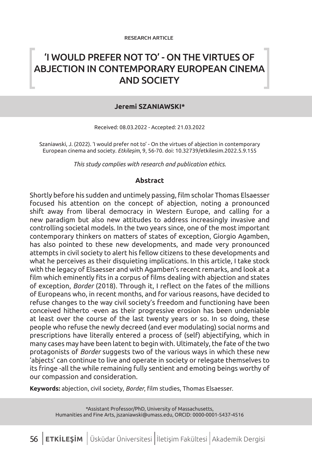# 'I WOULD PREFER NOT TO' - ON THE VIRTUES OF ABJECTION IN CONTEMPORARY EUROPEAN CINEMA AND SOCIETY

### **Jeremi SZANIAWSKI\***

Received: 08.03.2022 - Accepted: 21.03.2022

Szaniawski, J. (2022). 'I would prefer not to' - On the virtues of abjection in contemporary European cinema and society. *Etkileşim*, 9, 56-70. doi: 10.32739/etkilesim.2022.5.9.155

*This study complies with research and publication ethics.*

#### **Abstract**

Shortly before his sudden and untimely passing, film scholar Thomas Elsaesser focused his attention on the concept of abjection, noting a pronounced shift away from liberal democracy in Western Europe, and calling for a new paradigm but also new attitudes to address increasingly invasive and controlling societal models. In the two years since, one of the most important contemporary thinkers on matters of states of exception, Giorgio Agamben, has also pointed to these new developments, and made very pronounced attempts in civil society to alert his fellow citizens to these developments and what he perceives as their disquieting implications. In this article, I take stock with the legacy of Elsaesser and with Agamben's recent remarks, and look at a film which eminently fits in a corpus of films dealing with abjection and states of exception, *Border* (2018). Through it, I reflect on the fates of the millions of Europeans who, in recent months, and for various reasons, have decided to refuse changes to the way civil society's freedom and functioning have been conceived hitherto -even as their progressive erosion has been undeniable at least over the course of the last twenty years or so. In so doing, these people who refuse the newly decreed (and ever modulating) social norms and prescriptions have literally entered a process of (self) abjectifying, which in many cases may have been latent to begin with. Ultimately, the fate of the two protagonists of *Border* suggests two of the various ways in which these new 'abjects' can continue to live and operate in society or relegate themselves to its fringe -all the while remaining fully sentient and emoting beings worthy of our compassion and consideration.

**Keywords:** abjection, civil society, *Border*, film studies, Thomas Elsaesser.

\*Assistant Professor/PhD, University of Massachusetts, Humanities and Fine Arts, jszaniawski@umass.edu, ORCID: 0000-0001-5437-4516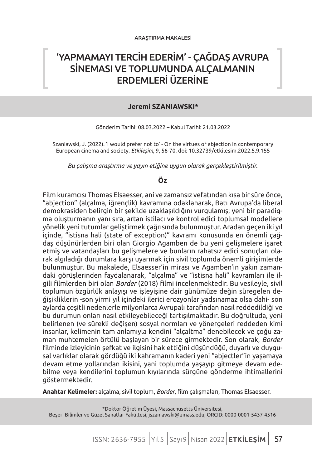# 'YAPMAMAYI TERCİH EDERİM' - ÇAĞDAŞ AVRUPA SİNEMASI VE TOPLUMUNDA ALÇALMANIN ERDEMLERİ ÜZERİNE

#### **Jeremi SZANIAWSKI\***

Gönderim Tarihi: 08.03.2022 – Kabul Tarihi: 21.03.2022

Szaniawski, J. (2022). 'I would prefer not to' - On the virtues of abjection in contemporary European cinema and society. *Etkileşim*, 9, 56-70. doi: 10.32739/etkilesim.2022.5.9.155

*Bu çalışma araştırma ve yayın etiğine uygun olarak gerçekleştirilmiştir.*

### **Öz**

Film kuramcısı Thomas Elsaesser, ani ve zamansız vefatından kısa bir süre önce, "abjection" (alçalma, iğrençlik) kavramına odaklanarak, Batı Avrupa'da liberal demokrasiden belirgin bir şekilde uzaklaşıldığını vurgulamış; yeni bir paradigma oluşturmanın yanı sıra, artan istilacı ve kontrol edici toplumsal modellere yönelik yeni tutumlar geliştirmek çağrısında bulunmuştur. Aradan geçen iki yıl içinde, "istisna hali (state of exception)" kavramı konusunda en önemli çağdaş düşünürlerden biri olan Giorgio Agamben de bu yeni gelişmelere işaret etmiş ve vatandaşları bu gelişmelere ve bunların rahatsız edici sonuçları olarak algıladığı durumlara karşı uyarmak için sivil toplumda önemli girişimlerde bulunmuştur. Bu makalede, Elsaesser'in mirası ve Agamben'in yakın zamandaki görüşlerinden faydalanarak, "alçalma" ve "istisna hali" kavramları ile ilgili filmlerden biri olan *Border* (2018) filmi incelenmektedir. Bu vesileyle, sivil toplumun özgürlük anlayışı ve işleyişine dair günümüze değin süregelen değişikliklerin -son yirmi yıl içindeki ilerici erozyonlar yadsınamaz olsa dahi- son aylarda çeşitli nedenlerle milyonlarca Avrupalı tarafından nasıl reddedildiği ve bu durumun onları nasıl etkileyebileceği tartışılmaktadır. Bu doğrultuda, yeni belirlenen (ve sürekli değişen) sosyal normları ve yönergeleri reddeden kimi insanlar, kelimenin tam anlamıyla kendini "alçaltma" denebilecek ve çoğu zaman muhtemelen örtülü başlayan bir sürece girmektedir. Son olarak, *Border* filminde izleyicinin şefkat ve ilgisini hak ettiğini düşündüğü, duyarlı ve duygusal varlıklar olarak gördüğü iki kahramanın kaderi yeni "abjectler"in yaşamaya devam etme yollarından ikisini, yani toplumda yaşayıp gitmeye devam edebilme veya kendilerini toplumun kıyılarında sürgüne gönderme ihtimallerini göstermektedir.

**Anahtar Kelimeler:** alçalma, sivil toplum, *Border*, film çalışmaları, Thomas Elsaesser.

\*Doktor Öğretim Üyesi, Massachusetts Üniversitesi, Beşeri Bilimler ve Güzel Sanatlar Fakültesi, jszaniawski@umass.edu, ORCID: 0000-0001-5437-4516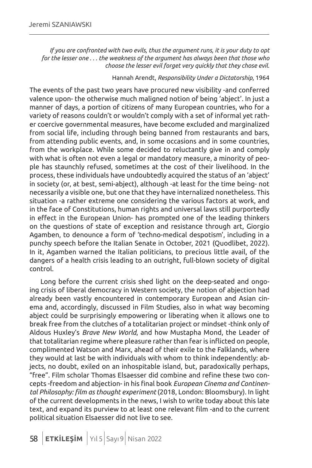*If you are confronted with two evils, thus the argument runs, it is your duty to opt for the lesser one . . . the weakness of the argument has always been that those who choose the lesser evil forget very quickly that they chose evil.*

#### Hannah Arendt, *Responsibility Under a Dictatorship*, 1964

The events of the past two years have procured new visibility -and conferred valence upon- the otherwise much maligned notion of being 'abject'. In just a manner of days, a portion of citizens of many European countries, who for a variety of reasons couldn't or wouldn't comply with a set of informal yet rather coercive governmental measures, have become excluded and marginalized from social life, including through being banned from restaurants and bars, from attending public events, and, in some occasions and in some countries, from the workplace. While some decided to reluctantly give in and comply with what is often not even a legal or mandatory measure, a minority of people has staunchly refused, sometimes at the cost of their livelihood. In the process, these individuals have undoubtedly acquired the status of an 'abject' in society (or, at best, semi-abject), although -at least for the time being- not necessarily a visible one, but one that they have internalized nonetheless. This situation -a rather extreme one considering the various factors at work, and in the face of Constitutions, human rights and universal laws still purportedly in effect in the European Union- has prompted one of the leading thinkers on the questions of state of exception and resistance through art, Giorgio Agamben, to denounce a form of 'techno-medical despotism', including in a punchy speech before the Italian Senate in October, 2021 (Quodlibet, 2022). In it, Agamben warned the Italian politicians, to precious little avail, of the dangers of a health crisis leading to an outright, full-blown society of digital control.

Long before the current crisis shed light on the deep-seated and ongoing crisis of liberal democracy in Western society, the notion of abjection had already been vastly encountered in contemporary European and Asian cinema and, accordingly, discussed in Film Studies, also in what way becoming abject could be surprisingly empowering or liberating when it allows one to break free from the clutches of a totalitarian project or mindset -think only of Aldous Huxley's *Brave New World*, and how Mustapha Mond, the Leader of that totalitarian regime where pleasure rather than fear is inflicted on people, complimented Watson and Marx, ahead of their exile to the Falklands, where they would at last be with individuals with whom to think independently: abjects, no doubt, exiled on an inhospitable island, but, paradoxically perhaps, "free". Film scholar Thomas Elsaesser did combine and refine these two concepts -freedom and abjection- in his final book *European Cinema and Continental Philosophy: film as thought experiment* (2018, London: Bloomsbury). In light of the current developments in the news, I wish to write today about this late text, and expand its purview to at least one relevant film -and to the current political situation Elsaesser did not live to see.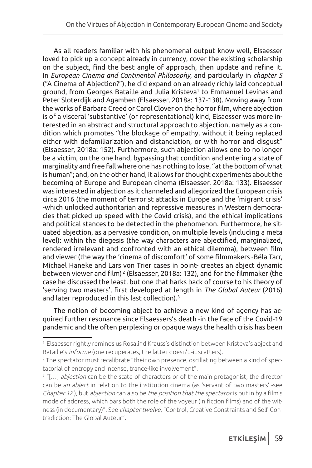As all readers familiar with his phenomenal output know well, Elsaesser loved to pick up a concept already in currency, cover the existing scholarship on the subject, find the best angle of approach, then update and refine it. In *European Cinema and Continental Philosophy*, and particularly in *chapter 5* ("A Cinema of Abjection?"), he did expand on an already richly laid conceptual ground, from Georges Bataille and Julia Kristeva<sup>1</sup> to Emmanuel Levinas and Peter Sloterdijk and Agamben (Elsaesser, 2018a: 137-138). Moving away from the works of Barbara Creed or Carol Clover on the horror film, where abjection is of a visceral 'substantive' (or representational) kind, Elsaesser was more interested in an abstract and structural approach to abjection, namely as a condition which promotes "the blockage of empathy, without it being replaced either with defamiliarization and distanciation, or with horror and disgust" (Elsaesser, 2018a: 152). Furthermore, such abjection allows one to no longer be a victim, on the one hand, bypassing that condition and entering a state of marginality and free fall where one has nothing to lose, "at the bottom of what is human"; and, on the other hand, it allows for thought experiments about the becoming of Europe and European cinema (Elsaesser, 2018a: 133). Elsaesser was interested in abjection as it channeled and allegorized the European crisis circa 2016 (the moment of terrorist attacks in Europe and the 'migrant crisis' -which unlocked authoritarian and repressive measures in Western democracies that picked up speed with the Covid crisis), and the ethical implications and political stances to be detected in the phenomenon. Furthermore, he situated abjection, as a pervasive condition, on multiple levels (including a meta level): within the diegesis (the way characters are abjectified, marginalized, rendered irrelevant and confronted with an ethical dilemma), between film and viewer (the way the 'cinema of discomfort' of some filmmakers -Béla Tarr, Michael Haneke and Lars von Trier cases in point- creates an abject dynamic between viewer and film)<sup>2</sup> (Elsaesser, 2018a: 132), and for the filmmaker (the case he discussed the least, but one that harks back of course to his theory of 'serving two masters', first developed at length in *The Global Auteur* (2016) and later reproduced in this last collection).<sup>3</sup>

The notion of becoming abject to achieve a new kind of agency has acquired further resonance since Elsaessers's death -in the face of the Covid-19 pandemic and the often perplexing or opaque ways the health crisis has been

<sup>1</sup> Elsaesser rightly reminds us Rosalind Krauss's distinction between Kristeva's abject and Bataille's informe (one recuperates, the latter doesn't -it scatters).

<sup>2</sup> The spectator must recalibrate "their own presence, oscillating between a kind of spectatorial of entropy and intense, trance-like involvement".

<sup>&</sup>lt;sup>3</sup> "[...] *abjection* can be the state of characters or of the main protagonist; the director can be an abject in relation to the institution cinema (as 'servant of two masters' -see Chapter 12), but abjection can also be the position that the spectator is put in by a film's mode of address, which bars both the role of the voyeur (in fiction films) and of the witness (in documentary)". See *chapter twelve*, "Control, Creative Constraints and Self-Contradiction: The Global Auteur".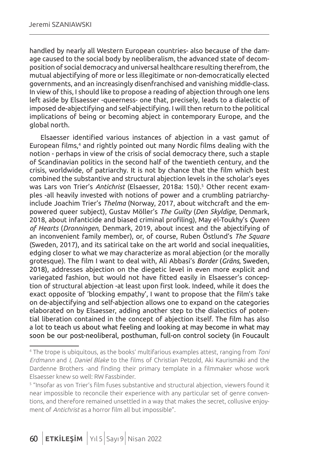handled by nearly all Western European countries- also because of the damage caused to the social body by neoliberalism, the advanced state of decomposition of social democracy and universal healthcare resulting therefrom, the mutual abjectifying of more or less illegitimate or non-democratically elected governments, and an increasingly disenfranchised and vanishing middle-class. In view of this, I should like to propose a reading of abjection through one lens left aside by Elsaesser -queerness- one that, precisely, leads to a dialectic of imposed de-abjectifying and self-abjectifying. I will then return to the political implications of being or becoming abject in contemporary Europe, and the global north.

Elsaesser identified various instances of abjection in a vast gamut of European films,4 and rightly pointed out many Nordic films dealing with the notion - perhaps in view of the crisis of social democracy there, such a staple of Scandinavian politics in the second half of the twentieth century, and the crisis, worldwide, of patriarchy. It is not by chance that the film which best combined the substantive and structural abjection levels in the scholar's eyes was Lars von Trier's *Antichrist* (Elsaesser, 2018a: 150).<sup>5</sup> Other recent examples -all heavily invested with notions of power and a crumbling patriarchyinclude Joachim Trier's *Thelma* (Norway, 2017, about witchcraft and the empowered queer subject), Gustav Möller's *The Guilty* (*Den Skyldige*, Denmark, 2018, about infanticide and biased criminal profiling), May el-Toukhy's *Queen of Hearts* (*Dronningen*, Denmark, 2019, about incest and the abjectifying of an inconvenient family member), or, of course, Ruben Östlund's *The Square* (Sweden, 2017), and its satirical take on the art world and social inequalities, edging closer to what we may characterize as moral abjection (or the morally grotesque). The film I want to deal with, Ali Abbasi's *Border* (*Gräns*, Sweden, 2018), addresses abjection on the diegetic level in even more explicit and variegated fashion, but would not have fitted easily in Elsaesser's conception of structural abjection -at least upon first look. Indeed, while it does the exact opposite of 'blocking empathy', I want to propose that the film's take on de-abjectifying and self-abjection allows one to expand on the categories elaborated on by Elsaesser, adding another step to the dialectics of potential liberation contained in the concept of abjection itself. The film has also a lot to teach us about what feeling and looking at may become in what may soon be our post-neoliberal, posthuman, full-on control society (in Foucault

<sup>&</sup>lt;sup>4</sup> The trope is ubiquitous, as the books' multifarious examples attest, ranging from *Toni* Erdmann and I, Daniel Blake to the films of Christian Petzold, Aki Kaurismäki and the Dardenne Brothers -and finding their primary template in a filmmaker whose work Elsaesser knew so well: RW Fassbinder.

<sup>5</sup> "Insofar as von Trier's film fuses substantive and structural abjection, viewers found it near impossible to reconcile their experience with any particular set of genre conventions, and therefore remained unsettled in a way that makes the secret, collusive enjoyment of Antichrist as a horror film all but impossible".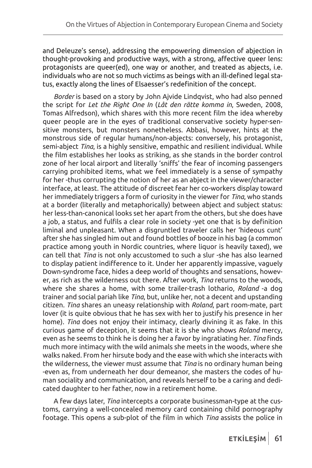and Deleuze's sense), addressing the empowering dimension of abjection in thought-provoking and productive ways, with a strong, affective queer lens: protagonists are queer(ed), one way or another, and treated as abjects, i.e. individuals who are not so much victims as beings with an ill-defined legal status, exactly along the lines of Elsaesser's redefinition of the concept.

*Border* is based on a story by John Ajvide Lindqvist, who had also penned the script for *Let the Right One In* (*Låt den rätte komma in*, Sweden, 2008, Tomas Alfredson), which shares with this more recent film the idea whereby queer people are in the eyes of traditional conservative society hyper-sensitive monsters, but monsters nonetheless. Abbasi, however, hints at the monstrous side of regular humans/non-abjects: conversely, his protagonist, semi-abject *Tina*, is a highly sensitive, empathic and resilient individual. While the film establishes her looks as striking, as she stands in the border control zone of her local airport and literally 'sniffs' the fear of incoming passengers carrying prohibited items, what we feel immediately is a sense of sympathy for her -thus corrupting the notion of her as an abject in the viewer/character interface, at least. The attitude of discreet fear her co-workers display toward her immediately triggers a form of curiosity in the viewer for *Tina*, who stands at a border (literally and metaphorically) between abject and subject status: her less-than-canonical looks set her apart from the others, but she does have a job, a status, and fulfils a clear role in society -yet one that is by definition liminal and unpleasant. When a disgruntled traveler calls her 'hideous cunt' after she has singled him out and found bottles of booze in his bag (a common practice among youth in Nordic countries, where liquor is heavily taxed), we can tell that *Tina* is not only accustomed to such a slur -she has also learned to display patient indifference to it. Under her apparently impassive, vaguely Down-syndrome face, hides a deep world of thoughts and sensations, however, as rich as the wilderness out there. After work, *Tina* returns to the woods, where she shares a home, with some trailer-trash lothario, *Roland* -a dog trainer and social pariah like *Tina*, but, unlike her, not a decent and upstanding citizen. *Tina* shares an uneasy relationship with *Roland*, part room-mate, part lover (it is quite obvious that he has sex with her to justify his presence in her home). *Tina* does not enjoy their intimacy, clearly divining it as fake. In this curious game of deception, it seems that it is she who shows *Roland* mercy, even as he seems to think he is doing her a favor by ingratiating her. *Tina* finds much more intimacy with the wild animals she meets in the woods, where she walks naked. From her hirsute body and the ease with which she interacts with the wilderness, the viewer must assume that *Tina* is no ordinary human being -even as, from underneath her dour demeanor, she masters the codes of human sociality and communication, and reveals herself to be a caring and dedicated daughter to her father, now in a retirement home.

A few days later, *Tina* intercepts a corporate businessman-type at the customs, carrying a well-concealed memory card containing child pornography footage. This opens a sub-plot of the film in which *Tina* assists the police in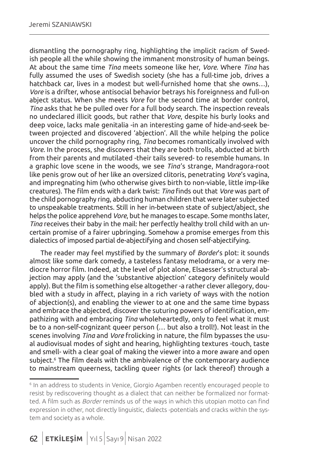dismantling the pornography ring, highlighting the implicit racism of Swedish people all the while showing the immanent monstrosity of human beings. At about the same time *Tina* meets someone like her, *Vore*. Where *Tina* has fully assumed the uses of Swedish society (she has a full-time job, drives a hatchback car, lives in a modest but well-furnished home that she owns…), *Vore* is a drifter, whose antisocial behavior betrays his foreignness and full-on abject status. When she meets *Vore* for the second time at border control, *Tina* asks that he be pulled over for a full body search. The inspection reveals no undeclared illicit goods, but rather that *Vore*, despite his burly looks and deep voice, lacks male genitalia -in an interesting game of hide-and-seek between projected and discovered 'abjection'. All the while helping the police uncover the child pornography ring, *Tina* becomes romantically involved with *Vore*. In the process, she discovers that they are both trolls, abducted at birth from their parents and mutilated -their tails severed- to resemble humans. In a graphic love scene in the woods, we see *Tina*'s strange, Mandragora-root like penis grow out of her like an oversized clitoris, penetrating *Vore*'s vagina, and impregnating him (who otherwise gives birth to non-viable, little imp-like creatures). The film ends with a dark twist: *Tina* finds out that *Vore* was part of the child pornography ring, abducting human children that were later subjected to unspeakable treatments. Still in her in-between state of subject/abject, she helps the police apprehend *Vore*, but he manages to escape. Some months later, *Tina* receives their baby in the mail: her perfectly healthy troll child with an uncertain promise of a fairer upbringing. Somehow a promise emerges from this dialectics of imposed partial de-abjectifying and chosen self-abjectifying.

The reader may feel mystified by the summary of *Border*'s plot: it sounds almost like some dark comedy, a tasteless fantasy melodrama, or a very mediocre horror film. Indeed, at the level of plot alone, Elsaesser's structural abjection may apply (and the 'substantive abjection' category definitely would apply). But the film is something else altogether -a rather clever allegory, doubled with a study in affect, playing in a rich variety of ways with the notion of abjection(s), and enabling the viewer to at one and the same time bypass and embrace the abjected, discover the suturing powers of identification, empathizing with and embracing *Tina* wholeheartedly, only to feel what it must be to a non-self-cognizant queer person (… but also a troll!). Not least in the scenes involving *Tina* and *Vore* frolicking in nature, the film bypasses the usual audiovisual modes of sight and hearing, highlighting textures -touch, taste and smell- with a clear goal of making the viewer into a more aware and open subject.<sup>6</sup> The film deals with the ambivalence of the contemporary audience to mainstream queerness, tackling queer rights (or lack thereof) through a

<sup>6</sup> In an address to students in Venice, Giorgio Agamben recently encouraged people to resist by rediscovering thought as a dialect that can neither be formalized nor formatted. A film such as *Border* reminds us of the ways in which this utopian motto can find expression in other, not directly linguistic, dialects -potentials and cracks within the system and society as a whole.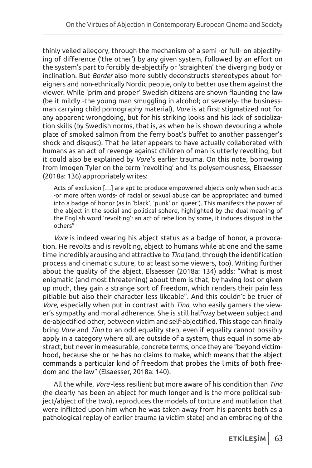thinly veiled allegory, through the mechanism of a semi -or full- on abjectifying of difference ('the other') by any given system, followed by an effort on the system's part to forcibly de-abjectify or 'straighten' the diverging body or inclination. But *Border* also more subtly deconstructs stereotypes about foreigners and non-ethnically Nordic people, only to better use them against the viewer. While 'prim and proper' Swedish citizens are shown flaunting the law (be it mildly -the young man smuggling in alcohol; or severely- the businessman carrying child pornography material), *Vore* is at first stigmatized not for any apparent wrongdoing, but for his striking looks and his lack of socialization skills (by Swedish norms, that is, as when he is shown devouring a whole plate of smoked salmon from the ferry boat's buffet to another passenger's shock and disgust). That he later appears to have actually collaborated with humans as an act of revenge against children of man is utterly revolting, but it could also be explained by *Vore*'s earlier trauma. On this note, borrowing from Imogen Tyler on the term 'revolting' and its polysemousness, Elsaesser (2018a: 136) appropriately writes:

Acts of exclusion […] are apt to produce empowered abjects only when such acts -or more often words- of racial or sexual abuse can be appropriated and turned into a badge of honor (as in 'black', 'punk' or 'queer'). This manifests the power of the abject in the social and political sphere, highlighted by the dual meaning of the English word 'revolting': an act of rebellion by some, it induces disgust in the others"

*Vore* is indeed wearing his abject status as a badge of honor, a provocation. He revolts and is revolting, abject to humans while at one and the same time incredibly arousing and attractive to *Tina* (and, through the identification process and cinematic suture, to at least some viewers, too). Writing further about the quality of the abject, Elsaesser (2018a: 134) adds: "What is most enigmatic (and most threatening) about them is that, by having lost or given up much, they gain a strange sort of freedom, which renders their pain less pitiable but also their character less likeable". And this couldn't be truer of *Vore*, especially when put in contrast with *Tina*, who easily garners the viewer's sympathy and moral adherence. She is still halfway between subject and de-abjectified other, between victim and self-abjectified. This stage can finally bring *Vore* and *Tina* to an odd equality step, even if equality cannot possibly apply in a category where all are outside of a system, thus equal in some abstract, but never in measurable, concrete terms, once they are "beyond victimhood, because she or he has no claims to make, which means that the abject commands a particular kind of freedom that probes the limits of both freedom and the law" (Elsaesser, 2018a: 140).

All the while, *Vore* -less resilient but more aware of his condition than *Tina* (he clearly has been an abject for much longer and is the more political subject/abject of the two), reproduces the models of torture and mutilation that were inflicted upon him when he was taken away from his parents both as a pathological replay of earlier trauma (a victim state) and an embracing of the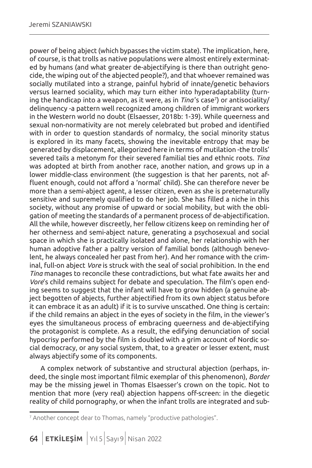power of being abject (which bypasses the victim state). The implication, here, of course, is that trolls as native populations were almost entirely exterminated by humans (and what greater de-abjectifying is there than outright genocide, the wiping out of the abjected people?), and that whoever remained was socially mutilated into a strange, painful hybrid of innate/genetic behaviors versus learned sociality, which may turn either into hyperadaptability (turning the handicap into a weapon, as it were, as in *Tina* 's case7 ) or antisociality/ delinquency -a pattern well recognized among children of immigrant workers in the Western world no doubt (Elsaesser, 2018b: 1-39). While queerness and sexual non-normativity are not merely celebrated but probed and identified with in order to question standards of normalcy, the social minority status is explored in its many facets, showing the inevitable entropy that may be generated by displacement, allegorized here in terms of mutilation -the trolls' severed tails a metonym for their severed familial ties and ethnic roots. *Tina* was adopted at birth from another race, another nation, and grows up in a lower middle-class environment (the suggestion is that her parents, not affluent enough, could not afford a 'normal' child). She can therefore never be more than a semi-abject agent, a lesser citizen, even as she is preternaturally sensitive and supremely qualified to do her job. She has filled a niche in this society, without any promise of upward or social mobility, but with the obligation of meeting the standards of a permanent process of de-abjectification. All the while, however discreetly, her fellow citizens keep on reminding her of her otherness and semi-abject nature, generating a psychosexual and social space in which she is practically isolated and alone, her relationship with her human adoptive father a paltry version of familial bonds (although benevolent, he always concealed her past from her). And her romance with the criminal, full-on abject *Vore* is struck with the seal of social prohibition. In the end *Tina* manages to reconcile these contradictions, but what fate awaits her and *Vore*'s child remains subject for debate and speculation. The film's open ending seems to suggest that the infant will have to grow hidden (a genuine abject begotten of abjects, further abjectified from its own abject status before it can embrace it as an adult) if it is to survive unscathed. One thing is certain: if the child remains an abject in the eyes of society in the film, in the viewer's eyes the simultaneous process of embracing queerness and de-abjectifying the protagonist is complete. As a result, the edifying denunciation of social hypocrisy performed by the film is doubled with a grim account of Nordic social democracy, or any social system, that, to a greater or lesser extent, must always abjectify some of its components.

A complex network of substantive and structural abjection (perhaps, indeed, the single most important filmic exemplar of this phenomenon), *Border*  may be the missing jewel in Thomas Elsaesser's crown on the topic. Not to mention that more (very real) abjection happens off-screen: in the diegetic reality of child pornography, or when the infant trolls are integrated and sub-

<sup>7</sup> Another concept dear to Thomas, namely "productive pathologies".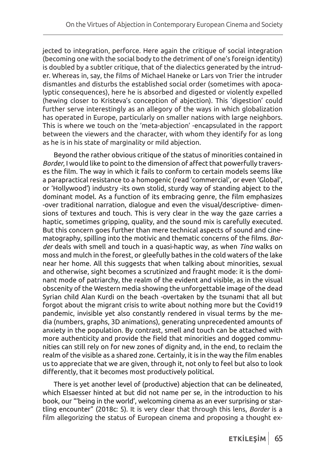jected to integration, perforce. Here again the critique of social integration (becoming one with the social body to the detriment of one's foreign identity) is doubled by a subtler critique, that of the dialectics generated by the intruder. Whereas in, say, the films of Michael Haneke or Lars von Trier the intruder dismantles and disturbs the established social order (sometimes with apocalyptic consequences), here he is absorbed and digested or violently expelled (hewing closer to Kristeva's conception of abjection). This 'digestion' could further serve interestingly as an allegory of the ways in which globalization has operated in Europe, particularly on smaller nations with large neighbors. This is where we touch on the 'meta-abjection' -encapsulated in the rapport between the viewers and the character, with whom they identify for as long as he is in his state of marginality or mild abjection.

Beyond the rather obvious critique of the status of minorities contained in *Border*, I would like to point to the dimension of affect that powerfully traverses the film. The way in which it fails to conform to certain models seems like a parapractical resistance to a homogenic (read 'commercial', or even 'Global', or 'Hollywood') industry -its own stolid, sturdy way of standing abject to the dominant model. As a function of its embracing genre, the film emphasizes -over traditional narration, dialogue and even the visual/descriptive- dimensions of textures and touch. This is very clear in the way the gaze carries a haptic, sometimes gripping, quality, and the sound mix is carefully executed. But this concern goes further than mere technical aspects of sound and cinematography, spilling into the motivic and thematic concerns of the films. *Border* deals with smell and touch in a quasi-haptic way, as when *Tina* walks on moss and mulch in the forest, or gleefully bathes in the cold waters of the lake near her home. All this suggests that when talking about minorities, sexual and otherwise, sight becomes a scrutinized and fraught mode: it is the dominant mode of patriarchy, the realm of the evident and visible, as in the visual obscenity of the Western media showing the unforgettable image of the dead Syrian child Alan Kurdi on the beach -overtaken by the tsunami that all but forgot about the migrant crisis to write about nothing more but the Covid19 pandemic, invisible yet also constantly rendered in visual terms by the media (numbers, graphs, 3D animations), generating unprecedented amounts of anxiety in the population. By contrast, smell and touch can be attached with more authenticity and provide the field that minorities and dogged communities can still rely on for new zones of dignity and, in the end, to reclaim the realm of the visible as a shared zone. Certainly, it is in the way the film enables us to appreciate that we are given, through it, not only to feel but also to look differently, that it becomes most productively political.

There is yet another level of (productive) abjection that can be delineated, which Elsaesser hinted at but did not name per se, in the introduction to his book, our "'being in the world', welcoming cinema as an ever surprising or startling encounter" (2018c: 5). It is very clear that through this lens, *Border* is a film allegorizing the status of European cinema and proposing a thought ex-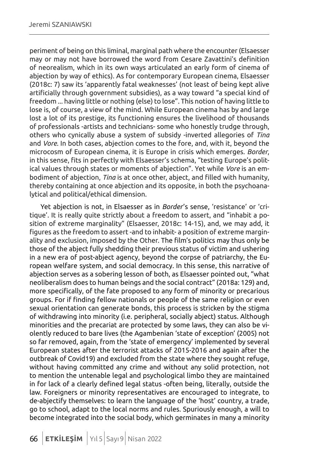periment of being on this liminal, marginal path where the encounter (Elsaesser may or may not have borrowed the word from Cesare Zavattini's definition of neorealism, which in its own ways articulated an early form of cinema of abjection by way of ethics). As for contemporary European cinema, Elsaesser (2018c: 7) saw its 'apparently fatal weaknesses' (not least of being kept alive artificially through government subsidies), as a way toward "a special kind of freedom ... having little or nothing (else) to lose". This notion of having little to lose is, of course, a view of the mind. While European cinema has by and large lost a lot of its prestige, its functioning ensures the livelihood of thousands of professionals -artists and technicians- some who honestly trudge through, others who cynically abuse a system of subsidy -inverted allegories of *Tina* and *Vore*. In both cases, abjection comes to the fore, and, with it, beyond the microcosm of European cinema, it is Europe in crisis which emerges. *Border*, in this sense, fits in perfectly with Elsaesser's schema, "testing Europe's political values through states or moments of abjection". Yet while *Vore* is an embodiment of abjection, *Tina* is at once other, abject, and filled with humanity, thereby containing at once abjection and its opposite, in both the psychoanalytical and political/ethical dimension.

Yet abjection is not, in Elsaesser as in *Border*'s sense, 'resistance' or 'critique'. It is really quite strictly about a freedom to assert, and "inhabit a position of extreme marginality" (Elsaesser, 2018c: 14-15), and, we may add, it figures as the freedom to assert -and to inhabit- a position of extreme marginality and exclusion, imposed by the Other. The film's politics may thus only be those of the abject fully shedding their previous status of victim and ushering in a new era of post-abject agency, beyond the corpse of patriarchy, the European welfare system, and social democracy. In this sense, this narrative of abjection serves as a sobering lesson of both, as Elsaesser pointed out, "what neoliberalism does to human beings and the social contract" (2018a: 129) and, more specifically, of the fate proposed to any form of minority or precarious groups. For if finding fellow nationals or people of the same religion or even sexual orientation can generate bonds, this process is stricken by the stigma of withdrawing into minority (i.e. peripheral, socially abject) status. Although minorities and the precariat are protected by some laws, they can also be violently reduced to bare lives (the Agambenian 'state of exception' (2005) not so far removed, again, from the 'state of emergency' implemented by several European states after the terrorist attacks of 2015-2016 and again after the outbreak of Covid19) and excluded from the state where they sought refuge, without having committed any crime and without any solid protection, not to mention the untenable legal and psychological limbo they are maintained in for lack of a clearly defined legal status -often being, literally, outside the law. Foreigners or minority representatives are encouraged to integrate, to de-abjectify themselves: to learn the language of the 'host' country, a trade, go to school, adapt to the local norms and rules. Spuriously enough, a will to become integrated into the social body, which germinates in many a minority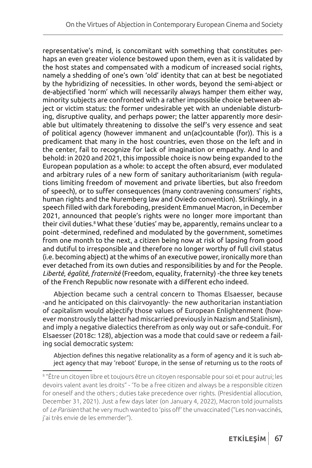representative's mind, is concomitant with something that constitutes perhaps an even greater violence bestowed upon them, even as it is validated by the host states and compensated with a modicum of increased social rights, namely a shedding of one's own 'old' identity that can at best be negotiated by the hybridizing of necessities. In other words, beyond the semi-abject or de-abjectified 'norm' which will necessarily always hamper them either way, minority subjects are confronted with a rather impossible choice between abject or victim status: the former undesirable yet with an undeniable disturbing, disruptive quality, and perhaps power; the latter apparently more desirable but ultimately threatening to dissolve the self's very essence and seat of political agency (however immanent and un(ac)countable (for)). This is a predicament that many in the host countries, even those on the left and in the center, fail to recognize for lack of imagination or empathy. And lo and behold: in 2020 and 2021, this impossible choice is now being expanded to the European population as a whole: to accept the often absurd, ever modulated and arbitrary rules of a new form of sanitary authoritarianism (with regulations limiting freedom of movement and private liberties, but also freedom of speech), or to suffer consequences (many contravening consumers' rights, human rights and the Nuremberg law and Oviedo convention). Strikingly, in a speech filled with dark foreboding, president Emmanuel Macron, in December 2021, announced that people's rights were no longer more important than their civil duties.8 What these 'duties' may be, apparently, remains unclear to a point -determined, redefined and modulated by the government, sometimes from one month to the next, a citizen being now at risk of lapsing from good and dutiful to irresponsible and therefore no longer worthy of full civil status (i.e. becoming abject) at the whims of an executive power, ironically more than ever detached from its own duties and responsibilities by and for the People. *Liberté*, *égalité*, *fraternité* (Freedom, equality, fraternity) -the three key tenets of the French Republic now resonate with a different echo indeed.

Abjection became such a central concern to Thomas Elsaesser, because -and he anticipated on this clairvoyantly- the new authoritarian instantiation of capitalism would abjectify those values of European Enlightenment (however monstrously the latter had miscarried previously in Nazism and Stalinism), and imply a negative dialectics therefrom as only way out or safe-conduit. For Elsaesser (2018c: 128), abjection was a mode that could save or redeem a failing social democratic system:

Abjection defines this negative relationality as a form of agency and it is such abject agency that may 'reboot' Europe, in the sense of returning us to the roots of

<sup>8</sup> "Être un citoyen libre et toujours être un citoyen responsable pour soi et pour autrui; les devoirs valent avant les droits" - 'To be a free citizen and always be a responsible citizen for oneself and the others ; duties take precedence over rights. (Presidential allocution, December 31, 2021). Just a few days later (on January 4, 2022), Macron told journalists of Le Parisien that he very much wanted to 'piss off' the unvaccinated ("Les non-vaccinés, j'ai très envie de les emmerder").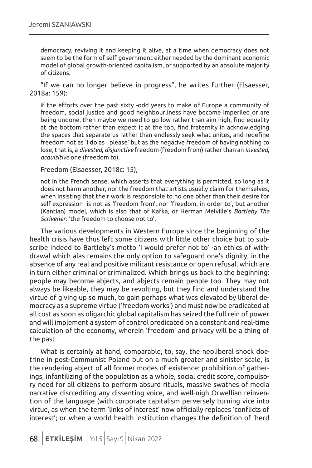democracy, reviving it and keeping it alive, at a time when democracy does not seem to be the form of self-government either needed by the dominant economic model of global growth-oriented capitalism, or supported by an absolute majority of citizens.

"If we can no longer believe in progress", he writes further (Elsaesser, 2018a: 159):

if the efforts over the past sixty -odd years to make of Europe a community of freedom, social justice and good neighbourliness have become imperiled or are being undone, then maybe we need to go low rather than aim high, find equality at the bottom rather than expect it at the top, find fraternity in acknowledging the spaces that separate us rather than endlessly seek what unites, and redefine freedom not as 'I do as I please' but as the negative freedom of having nothing to lose, that is, a *divested*, *disjunctive* freedom (freedom from) rather than an *invested*, *acquisitive* one (freedom to).

Freedom (Elsaesser, 2018c: 15),

not in the French sense, which asserts that everything is permitted, so long as it does not harm another, nor the freedom that artists usually claim for themselves, when insisting that their work is responsible to no one other than their desire for self-expression -is not as 'freedom from', nor 'freedom, in order to', but another (Kantian) model, which is also that of Kafka, or Herman Melville's *Bartleby The Scrivener*: 'the freedom to choose not to'.

The various developments in Western Europe since the beginning of the health crisis have thus left some citizens with little other choice but to subscribe indeed to Bartleby's motto 'I would prefer not to' -an ethics of withdrawal which alas remains the only option to safeguard one's dignity, in the absence of any real and positive militant resistance or open refusal, which are in turn either criminal or criminalized. Which brings us back to the beginning: people may become abjects, and abjects remain people too. They may not always be likeable, they may be revolting, but they find and understand the virtue of giving up so much, to gain perhaps what was elevated by liberal democracy as a supreme virtue ('freedom works') and must now be eradicated at all cost as soon as oligarchic global capitalism has seized the full rein of power and will implement a system of control predicated on a constant and real-time calculation of the economy, wherein 'freedom' and privacy will be a thing of the past.

What is certainly at hand, comparable, to, say, the neoliberal shock doctrine in post-Communist Poland but on a much greater and sinister scale, is the rendering abject of all former modes of existence: prohibition of gatherings, infantilizing of the population as a whole, social credit score, compulsory need for all citizens to perform absurd rituals, massive swathes of media narrative discrediting any dissenting voice, and well-nigh Orwellian reinvention of the language (with corporate capitalism perversely turning vice into virtue, as when the term 'links of interest' now officially replaces 'conflicts of interest'; or when a world health institution changes the definition of 'herd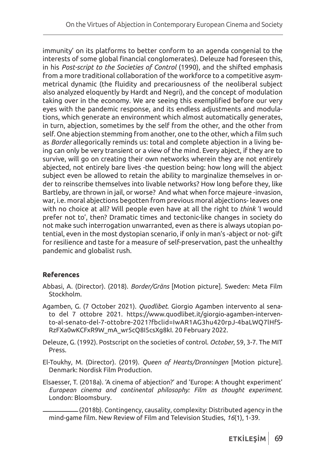immunity' on its platforms to better conform to an agenda congenial to the interests of some global financial conglomerates). Deleuze had foreseen this, in his *Post-script to the Societies of Control* (1990), and the shifted emphasis from a more traditional collaboration of the workforce to a competitive asymmetrical dynamic (the fluidity and precariousness of the neoliberal subject also analyzed eloquently by Hardt and Negri), and the concept of modulation taking over in the economy. We are seeing this exemplified before our very eyes with the pandemic response, and its endless adjustments and modulations, which generate an environment which almost automatically generates, in turn, abjection, sometimes by the self from the other, and the other from self. One abjection stemming from another, one to the other, which a film such as *Border* allegorically reminds us: total and complete abjection in a living being can only be very transient or a view of the mind. Every abject, if they are to survive, will go on creating their own networks wherein they are not entirely abjected, not entirely bare lives -the question being: how long will the abject subject even be allowed to retain the ability to marginalize themselves in order to reinscribe themselves into livable networks? How long before they, like Bartleby, are thrown in jail, or worse? And what when force majeure -invasion, war, i.e. moral abjections begotten from previous moral abjections- leaves one with no choice at all? Will people even have at all the right to *think* 'I would prefer not to', then? Dramatic times and tectonic-like changes in society do not make such interrogation unwarranted, even as there is always utopian potential, even in the most dystopian scenario, if only in man's -abject or not- gift for resilience and taste for a measure of self-preservation, past the unhealthy pandemic and globalist rush.

## **References**

- Abbasi, A. (Director). (2018). *Border/Gräns* [Motion picture]. Sweden: Meta Film Stockholm.
- Agamben, G. (7 October 2021). *Quodlibet*. Giorgio Agamben intervento al senato del 7 ottobre 2021. https://www.quodlibet.it/giorgio-agamben-intervento-al-senato-del-7-ottobre-2021?fbclid=IwAR1AG3hu420rpJ-4baLWQ7lHfS-RzFXa0wKCFxR9W\_mA\_wr5cQ8I5csXg8kI. 20 February 2022.
- Deleuze, G. (1992). Postscript on the societies of control. *October*, 59, 3-7. The MIT Press.

El-Toukhy, M. (Director). (2019). *Queen of Hearts/Dronningen* [Motion picture]. Denmark: Nordisk Film Production.

Elsaesser, T. (2018a). 'A cinema of abjection?' and 'Europe: A thought experiment' *European cinema and continental philosophy: Film as thought experiment*. London: Bloomsbury.

 $-$  (2018b). Contingency, causality, complexity: Distributed agency in the mind-game film. New Review of Film and Television Studies, *16*(1), 1-39.